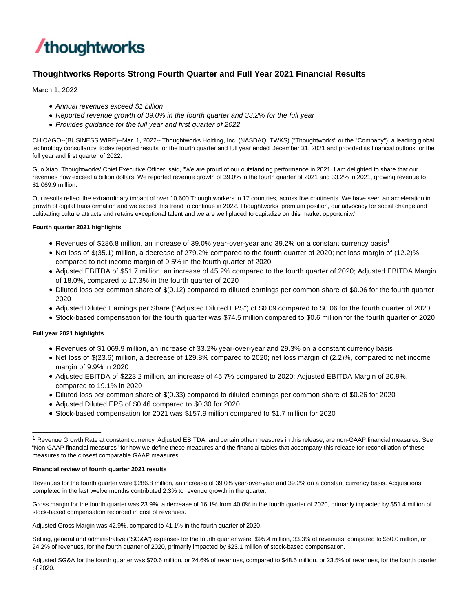

# **Thoughtworks Reports Strong Fourth Quarter and Full Year 2021 Financial Results**

March 1, 2022

- Annual revenues exceed \$1 billion
- Reported revenue growth of 39.0% in the fourth quarter and 33.2% for the full year
- Provides quidance for the full year and first quarter of 2022

CHICAGO--(BUSINESS WIRE)--Mar. 1, 2022-- Thoughtworks Holding, Inc. (NASDAQ: TWKS) ("Thoughtworks" or the "Company"), a leading global technology consultancy, today reported results for the fourth quarter and full year ended December 31, 2021 and provided its financial outlook for the full year and first quarter of 2022.

Guo Xiao, Thoughtworks' Chief Executive Officer, said, "We are proud of our outstanding performance in 2021. I am delighted to share that our revenues now exceed a billion dollars. We reported revenue growth of 39.0% in the fourth quarter of 2021 and 33.2% in 2021, growing revenue to \$1,069.9 million.

Our results reflect the extraordinary impact of over 10,600 Thoughtworkers in 17 countries, across five continents. We have seen an acceleration in growth of digital transformation and we expect this trend to continue in 2022. Thoughtworks' premium position, our advocacy for social change and cultivating culture attracts and retains exceptional talent and we are well placed to capitalize on this market opportunity."

## **Fourth quarter 2021 highlights**

- Revenues of \$286.8 million, an increase of 39.0% year-over-year and 39.2% on a constant currency basis<sup>1</sup>
- Net loss of \$(35.1) million, a decrease of 279.2% compared to the fourth quarter of 2020; net loss margin of (12.2)% compared to net income margin of 9.5% in the fourth quarter of 2020
- Adjusted EBITDA of \$51.7 million, an increase of 45.2% compared to the fourth quarter of 2020; Adjusted EBITDA Margin of 18.0%, compared to 17.3% in the fourth quarter of 2020
- Diluted loss per common share of \$(0.12) compared to diluted earnings per common share of \$0.06 for the fourth quarter 2020
- Adjusted Diluted Earnings per Share ("Adjusted Diluted EPS") of \$0.09 compared to \$0.06 for the fourth quarter of 2020
- Stock-based compensation for the fourth quarter was \$74.5 million compared to \$0.6 million for the fourth quarter of 2020

## **Full year 2021 highlights**

 $\frac{1}{2}$  ,  $\frac{1}{2}$  ,  $\frac{1}{2}$  ,  $\frac{1}{2}$  ,  $\frac{1}{2}$  ,  $\frac{1}{2}$  ,  $\frac{1}{2}$  ,  $\frac{1}{2}$  ,  $\frac{1}{2}$  ,  $\frac{1}{2}$  ,  $\frac{1}{2}$  ,  $\frac{1}{2}$  ,  $\frac{1}{2}$  ,  $\frac{1}{2}$  ,  $\frac{1}{2}$  ,  $\frac{1}{2}$  ,  $\frac{1}{2}$  ,  $\frac{1}{2}$  ,  $\frac{1$ 

- Revenues of \$1,069.9 million, an increase of 33.2% year-over-year and 29.3% on a constant currency basis
- Net loss of \$(23.6) million, a decrease of 129.8% compared to 2020; net loss margin of (2.2)%, compared to net income margin of 9.9% in 2020
- Adjusted EBITDA of \$223.2 million, an increase of 45.7% compared to 2020; Adjusted EBITDA Margin of 20.9%, compared to 19.1% in 2020
- Diluted loss per common share of \$(0.33) compared to diluted earnings per common share of \$0.26 for 2020
- Adjusted Diluted EPS of \$0.46 compared to \$0.30 for 2020
- Stock-based compensation for 2021 was \$157.9 million compared to \$1.7 million for 2020

### **Financial review of fourth quarter 2021 results**

Revenues for the fourth quarter were \$286.8 million, an increase of 39.0% year-over-year and 39.2% on a constant currency basis. Acquisitions completed in the last twelve months contributed 2.3% to revenue growth in the quarter.

Gross margin for the fourth quarter was 23.9%, a decrease of 16.1% from 40.0% in the fourth quarter of 2020, primarily impacted by \$51.4 million of stock-based compensation recorded in cost of revenues.

Adjusted Gross Margin was 42.9%, compared to 41.1% in the fourth quarter of 2020.

Selling, general and administrative ("SG&A") expenses for the fourth quarter were \$95.4 million, 33.3% of revenues, compared to \$50.0 million, or 24.2% of revenues, for the fourth quarter of 2020, primarily impacted by \$23.1 million of stock-based compensation.

Adjusted SG&A for the fourth quarter was \$70.6 million, or 24.6% of revenues, compared to \$48.5 million, or 23.5% of revenues, for the fourth quarter of 2020.

<sup>1</sup> Revenue Growth Rate at constant currency, Adjusted EBITDA, and certain other measures in this release, are non-GAAP financial measures. See "Non-GAAP financial measures" for how we define these measures and the financial tables that accompany this release for reconciliation of these measures to the closest comparable GAAP measures.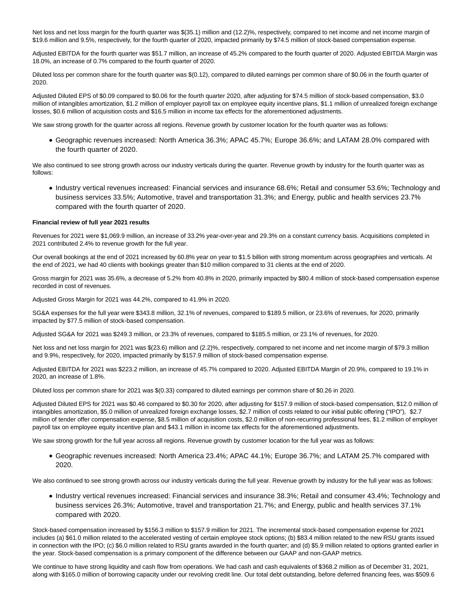Net loss and net loss margin for the fourth quarter was \$(35.1) million and (12.2)%, respectively, compared to net income and net income margin of \$19.6 million and 9.5%, respectively, for the fourth quarter of 2020, impacted primarily by \$74.5 million of stock-based compensation expense.

Adjusted EBITDA for the fourth quarter was \$51.7 million, an increase of 45.2% compared to the fourth quarter of 2020. Adjusted EBITDA Margin was 18.0%, an increase of 0.7% compared to the fourth quarter of 2020.

Diluted loss per common share for the fourth quarter was \$(0.12), compared to diluted earnings per common share of \$0.06 in the fourth quarter of 2020.

Adjusted Diluted EPS of \$0.09 compared to \$0.06 for the fourth quarter 2020, after adjusting for \$74.5 million of stock-based compensation, \$3.0 million of intangibles amortization, \$1.2 million of employer payroll tax on employee equity incentive plans, \$1.1 million of unrealized foreign exchange losses, \$0.6 million of acquisition costs and \$16.5 million in income tax effects for the aforementioned adjustments.

We saw strong growth for the quarter across all regions. Revenue growth by customer location for the fourth quarter was as follows:

Geographic revenues increased: North America 36.3%; APAC 45.7%; Europe 36.6%; and LATAM 28.0% compared with the fourth quarter of 2020.

We also continued to see strong growth across our industry verticals during the quarter. Revenue growth by industry for the fourth quarter was as follows:

Industry vertical revenues increased: Financial services and insurance 68.6%; Retail and consumer 53.6%; Technology and business services 33.5%; Automotive, travel and transportation 31.3%; and Energy, public and health services 23.7% compared with the fourth quarter of 2020.

#### **Financial review of full year 2021 results**

Revenues for 2021 were \$1,069.9 million, an increase of 33.2% year-over-year and 29.3% on a constant currency basis. Acquisitions completed in 2021 contributed 2.4% to revenue growth for the full year.

Our overall bookings at the end of 2021 increased by 60.8% year on year to \$1.5 billion with strong momentum across geographies and verticals. At the end of 2021, we had 40 clients with bookings greater than \$10 million compared to 31 clients at the end of 2020.

Gross margin for 2021 was 35.6%, a decrease of 5.2% from 40.8% in 2020, primarily impacted by \$80.4 million of stock-based compensation expense recorded in cost of revenues.

Adjusted Gross Margin for 2021 was 44.2%, compared to 41.9% in 2020.

SG&A expenses for the full year were \$343.8 million, 32.1% of revenues, compared to \$189.5 million, or 23.6% of revenues, for 2020, primarily impacted by \$77.5 million of stock-based compensation.

Adjusted SG&A for 2021 was \$249.3 million, or 23.3% of revenues, compared to \$185.5 million, or 23.1% of revenues, for 2020.

Net loss and net loss margin for 2021 was \$(23.6) million and (2.2)%, respectively, compared to net income and net income margin of \$79.3 million and 9.9%, respectively, for 2020, impacted primarily by \$157.9 million of stock-based compensation expense.

Adjusted EBITDA for 2021 was \$223.2 million, an increase of 45.7% compared to 2020. Adjusted EBITDA Margin of 20.9%, compared to 19.1% in 2020, an increase of 1.8%.

Diluted loss per common share for 2021 was \$(0.33) compared to diluted earnings per common share of \$0.26 in 2020.

Adjusted Diluted EPS for 2021 was \$0.46 compared to \$0.30 for 2020, after adjusting for \$157.9 million of stock-based compensation, \$12.0 million of intangibles amortization, \$5.0 million of unrealized foreign exchange losses, \$2.7 million of costs related to our initial public offering ("IPO"), \$2.7 million of tender offer compensation expense, \$8.5 million of acquisition costs, \$2.0 million of non-recurring professional fees, \$1.2 million of employer payroll tax on employee equity incentive plan and \$43.1 million in income tax effects for the aforementioned adjustments.

We saw strong growth for the full year across all regions. Revenue growth by customer location for the full year was as follows:

Geographic revenues increased: North America 23.4%; APAC 44.1%; Europe 36.7%; and LATAM 25.7% compared with 2020.

We also continued to see strong growth across our industry verticals during the full year. Revenue growth by industry for the full year was as follows:

Industry vertical revenues increased: Financial services and insurance 38.3%; Retail and consumer 43.4%; Technology and business services 26.3%; Automotive, travel and transportation 21.7%; and Energy, public and health services 37.1% compared with 2020.

Stock-based compensation increased by \$156.3 million to \$157.9 million for 2021. The incremental stock-based compensation expense for 2021 includes (a) \$61.0 million related to the accelerated vesting of certain employee stock options; (b) \$83.4 million related to the new RSU grants issued in connection with the IPO; (c) \$6.0 million related to RSU grants awarded in the fourth quarter; and (d) \$5.9 million related to options granted earlier in the year. Stock-based compensation is a primary component of the difference between our GAAP and non-GAAP metrics.

We continue to have strong liquidity and cash flow from operations. We had cash and cash equivalents of \$368.2 million as of December 31, 2021, along with \$165.0 million of borrowing capacity under our revolving credit line. Our total debt outstanding, before deferred financing fees, was \$509.6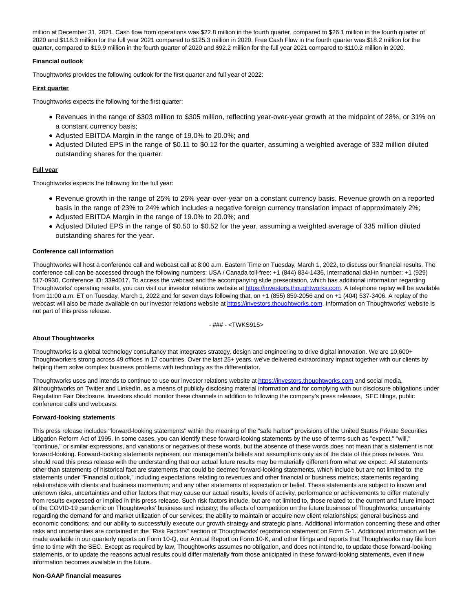million at December 31, 2021. Cash flow from operations was \$22.8 million in the fourth quarter, compared to \$26.1 million in the fourth quarter of 2020 and \$118.3 million for the full year 2021 compared to \$125.3 million in 2020. Free Cash Flow in the fourth quarter was \$18.2 million for the quarter, compared to \$19.9 million in the fourth quarter of 2020 and \$92.2 million for the full year 2021 compared to \$110.2 million in 2020.

### **Financial outlook**

Thoughtworks provides the following outlook for the first quarter and full year of 2022:

### **First quarter**

Thoughtworks expects the following for the first quarter:

- Revenues in the range of \$303 million to \$305 million, reflecting year-over-year growth at the midpoint of 28%, or 31% on a constant currency basis;
- Adjusted EBITDA Margin in the range of 19.0% to 20.0%; and
- Adjusted Diluted EPS in the range of \$0.11 to \$0.12 for the quarter, assuming a weighted average of 332 million diluted outstanding shares for the quarter.

### **Full year**

Thoughtworks expects the following for the full year:

- Revenue growth in the range of 25% to 26% year-over-year on a constant currency basis. Revenue growth on a reported basis in the range of 23% to 24% which includes a negative foreign currency translation impact of approximately 2%;
- Adjusted EBITDA Margin in the range of 19.0% to 20.0%; and
- Adjusted Diluted EPS in the range of \$0.50 to \$0.52 for the year, assuming a weighted average of 335 million diluted outstanding shares for the year.

### **Conference call information**

Thoughtworks will host a conference call and webcast call at 8:00 a.m. Eastern Time on Tuesday, March 1, 2022, to discuss our financial results. The conference call can be accessed through the following numbers: USA / Canada toll-free: +1 (844) 834-1436, International dial-in number: +1 (929) 517-0930, Conference ID: 3394017. To access the webcast and the accompanying slide presentation, which has additional information regarding Thoughtworks' operating results, you can visit our investor relations website a[t https://investors.thoughtworks.com.](https://cts.businesswire.com/ct/CT?id=smartlink&url=https%3A%2F%2Finvestors.thoughtworks.com&esheet=52587195&newsitemid=20220228006217&lan=en-US&anchor=https%3A%2F%2Finvestors.thoughtworks.com&index=1&md5=08694360dcb06bab4647c27ab63958c0) A telephone replay will be available from 11:00 a.m. ET on Tuesday, March 1, 2022 and for seven days following that, on +1 (855) 859-2056 and on +1 (404) 537-3406. A replay of the webcast will also be made available on our investor relations website a[t https://investors.thoughtworks.com.](https://cts.businesswire.com/ct/CT?id=smartlink&url=https%3A%2F%2Finvestors.thoughtworks.com&esheet=52587195&newsitemid=20220228006217&lan=en-US&anchor=https%3A%2F%2Finvestors.thoughtworks.com&index=2&md5=bc491c851f6ee236d1e9be09ee1b4026) Information on Thoughtworks' website is not part of this press release.

- ### - <TWKS915>

### **About Thoughtworks**

Thoughtworks is a global technology consultancy that integrates strategy, design and engineering to drive digital innovation. We are 10,600+ Thoughtworkers strong across 49 offices in 17 countries. Over the last 25+ years, we've delivered extraordinary impact together with our clients by helping them solve complex business problems with technology as the differentiator.

Thoughtworks uses and intends to continue to use our investor relations website a[t https://investors.thoughtworks.com a](https://cts.businesswire.com/ct/CT?id=smartlink&url=https%3A%2F%2Finvestors.thoughtworks.com&esheet=52587195&newsitemid=20220228006217&lan=en-US&anchor=https%3A%2F%2Finvestors.thoughtworks.com&index=3&md5=f5eb95c50edc21624bc8aeb2065cadd0)nd social media, @thoughtworks on Twitter and LinkedIn, as a means of publicly disclosing material information and for complying with our disclosure obligations under Regulation Fair Disclosure. Investors should monitor these channels in addition to following the company's press releases, SEC filings, public conference calls and webcasts.

#### **Forward-looking statements**

This press release includes "forward-looking statements" within the meaning of the "safe harbor" provisions of the United States Private Securities Litigation Reform Act of 1995. In some cases, you can identify these forward-looking statements by the use of terms such as "expect," "will," "continue," or similar expressions, and variations or negatives of these words, but the absence of these words does not mean that a statement is not forward-looking. Forward-looking statements represent our management's beliefs and assumptions only as of the date of this press release. You should read this press release with the understanding that our actual future results may be materially different from what we expect. All statements other than statements of historical fact are statements that could be deemed forward-looking statements, which include but are not limited to: the statements under "Financial outlook," including expectations relating to revenues and other financial or business metrics; statements regarding relationships with clients and business momentum; and any other statements of expectation or belief. These statements are subject to known and unknown risks, uncertainties and other factors that may cause our actual results, levels of activity, performance or achievements to differ materially from results expressed or implied in this press release. Such risk factors include, but are not limited to, those related to: the current and future impact of the COVID-19 pandemic on Thoughtworks' business and industry; the effects of competition on the future business of Thoughtworks; uncertainty regarding the demand for and market utilization of our services; the ability to maintain or acquire new client relationships; general business and economic conditions; and our ability to successfully execute our growth strategy and strategic plans. Additional information concerning these and other risks and uncertainties are contained in the "Risk Factors" section of Thoughtworks' registration statement on Form S-1. Additional information will be made available in our quarterly reports on Form 10-Q, our Annual Report on Form 10-K, and other filings and reports that Thoughtworks may file from time to time with the SEC. Except as required by law, Thoughtworks assumes no obligation, and does not intend to, to update these forward-looking statements, or to update the reasons actual results could differ materially from those anticipated in these forward-looking statements, even if new information becomes available in the future.

#### **Non-GAAP financial measures**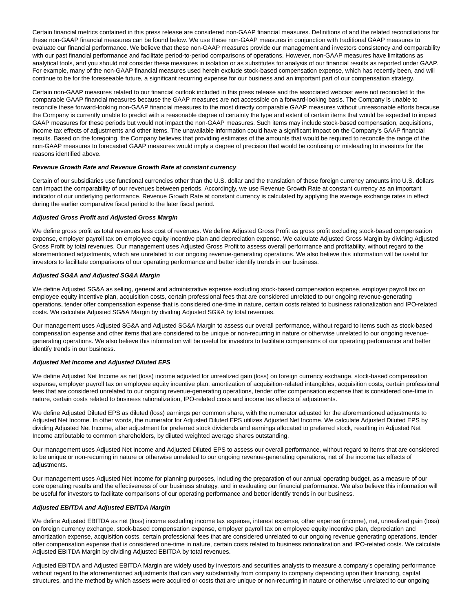Certain financial metrics contained in this press release are considered non-GAAP financial measures. Definitions of and the related reconciliations for these non-GAAP financial measures can be found below. We use these non-GAAP measures in conjunction with traditional GAAP measures to evaluate our financial performance. We believe that these non-GAAP measures provide our management and investors consistency and comparability with our past financial performance and facilitate period-to-period comparisons of operations. However, non-GAAP measures have limitations as analytical tools, and you should not consider these measures in isolation or as substitutes for analysis of our financial results as reported under GAAP. For example, many of the non-GAAP financial measures used herein exclude stock-based compensation expense, which has recently been, and will continue to be for the foreseeable future, a significant recurring expense for our business and an important part of our compensation strategy.

Certain non-GAAP measures related to our financial outlook included in this press release and the associated webcast were not reconciled to the comparable GAAP financial measures because the GAAP measures are not accessible on a forward-looking basis. The Company is unable to reconcile these forward-looking non-GAAP financial measures to the most directly comparable GAAP measures without unreasonable efforts because the Company is currently unable to predict with a reasonable degree of certainty the type and extent of certain items that would be expected to impact GAAP measures for these periods but would not impact the non-GAAP measures. Such items may include stock-based compensation, acquisitions, income tax effects of adjustments and other items. The unavailable information could have a significant impact on the Company's GAAP financial results. Based on the foregoing, the Company believes that providing estimates of the amounts that would be required to reconcile the range of the non-GAAP measures to forecasted GAAP measures would imply a degree of precision that would be confusing or misleading to investors for the reasons identified above.

#### **Revenue Growth Rate and Revenue Growth Rate at constant currency**

Certain of our subsidiaries use functional currencies other than the U.S. dollar and the translation of these foreign currency amounts into U.S. dollars can impact the comparability of our revenues between periods. Accordingly, we use Revenue Growth Rate at constant currency as an important indicator of our underlying performance. Revenue Growth Rate at constant currency is calculated by applying the average exchange rates in effect during the earlier comparative fiscal period to the later fiscal period.

#### **Adjusted Gross Profit and Adjusted Gross Margin**

We define gross profit as total revenues less cost of revenues. We define Adjusted Gross Profit as gross profit excluding stock-based compensation expense, employer payroll tax on employee equity incentive plan and depreciation expense. We calculate Adjusted Gross Margin by dividing Adjusted Gross Profit by total revenues. Our management uses Adjusted Gross Profit to assess overall performance and profitability, without regard to the aforementioned adjustments, which are unrelated to our ongoing revenue-generating operations. We also believe this information will be useful for investors to facilitate comparisons of our operating performance and better identify trends in our business.

#### **Adjusted SG&A and Adjusted SG&A Margin**

We define Adjusted SG&A as selling, general and administrative expense excluding stock-based compensation expense, employer payroll tax on employee equity incentive plan, acquisition costs, certain professional fees that are considered unrelated to our ongoing revenue-generating operations, tender offer compensation expense that is considered one-time in nature, certain costs related to business rationalization and IPO-related costs. We calculate Adjusted SG&A Margin by dividing Adjusted SG&A by total revenues.

Our management uses Adjusted SG&A and Adjusted SG&A Margin to assess our overall performance, without regard to items such as stock-based compensation expense and other items that are considered to be unique or non-recurring in nature or otherwise unrelated to our ongoing revenuegenerating operations. We also believe this information will be useful for investors to facilitate comparisons of our operating performance and better identify trends in our business.

### **Adjusted Net Income and Adjusted Diluted EPS**

We define Adjusted Net Income as net (loss) income adjusted for unrealized gain (loss) on foreign currency exchange, stock-based compensation expense, employer payroll tax on employee equity incentive plan, amortization of acquisition-related intangibles, acquisition costs, certain professional fees that are considered unrelated to our ongoing revenue-generating operations, tender offer compensation expense that is considered one-time in nature, certain costs related to business rationalization, IPO-related costs and income tax effects of adjustments.

We define Adjusted Diluted EPS as diluted (loss) earnings per common share, with the numerator adjusted for the aforementioned adjustments to Adjusted Net Income. In other words, the numerator for Adjusted Diluted EPS utilizes Adjusted Net Income. We calculate Adjusted Diluted EPS by dividing Adjusted Net Income, after adjustment for preferred stock dividends and earnings allocated to preferred stock, resulting in Adjusted Net Income attributable to common shareholders, by diluted weighted average shares outstanding.

Our management uses Adjusted Net Income and Adjusted Diluted EPS to assess our overall performance, without regard to items that are considered to be unique or non-recurring in nature or otherwise unrelated to our ongoing revenue-generating operations, net of the income tax effects of adjustments.

Our management uses Adjusted Net Income for planning purposes, including the preparation of our annual operating budget, as a measure of our core operating results and the effectiveness of our business strategy, and in evaluating our financial performance. We also believe this information will be useful for investors to facilitate comparisons of our operating performance and better identify trends in our business.

### **Adjusted EBITDA and Adjusted EBITDA Margin**

We define Adjusted EBITDA as net (loss) income excluding income tax expense, interest expense, other expense (income), net, unrealized gain (loss) on foreign currency exchange, stock-based compensation expense, employer payroll tax on employee equity incentive plan, depreciation and amortization expense, acquisition costs, certain professional fees that are considered unrelated to our ongoing revenue generating operations, tender offer compensation expense that is considered one-time in nature, certain costs related to business rationalization and IPO-related costs. We calculate Adjusted EBITDA Margin by dividing Adjusted EBITDA by total revenues.

Adjusted EBITDA and Adjusted EBITDA Margin are widely used by investors and securities analysts to measure a company's operating performance without regard to the aforementioned adjustments that can vary substantially from company to company depending upon their financing, capital structures, and the method by which assets were acquired or costs that are unique or non-recurring in nature or otherwise unrelated to our ongoing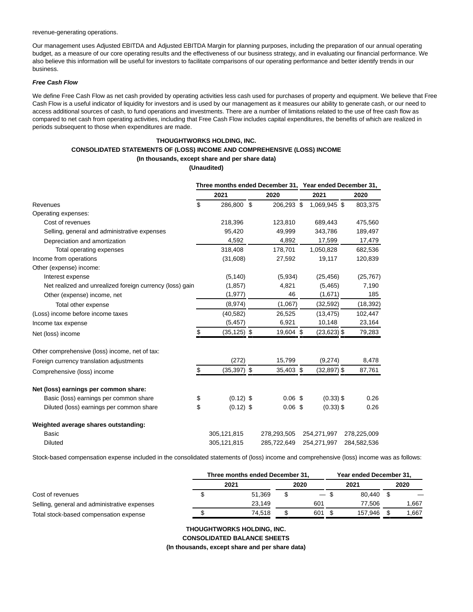revenue-generating operations.

Our management uses Adjusted EBITDA and Adjusted EBITDA Margin for planning purposes, including the preparation of our annual operating budget, as a measure of our core operating results and the effectiveness of our business strategy, and in evaluating our financial performance. We also believe this information will be useful for investors to facilitate comparisons of our operating performance and better identify trends in our business.

#### **Free Cash Flow**

We define Free Cash Flow as net cash provided by operating activities less cash used for purchases of property and equipment. We believe that Free Cash Flow is a useful indicator of liquidity for investors and is used by our management as it measures our ability to generate cash, or our need to access additional sources of cash, to fund operations and investments. There are a number of limitations related to the use of free cash flow as compared to net cash from operating activities, including that Free Cash Flow includes capital expenditures, the benefits of which are realized in periods subsequent to those when expenditures are made.

# **THOUGHTWORKS HOLDING, INC. CONSOLIDATED STATEMENTS OF (LOSS) INCOME AND COMPREHENSIVE (LOSS) INCOME**

**(In thousands, except share and per share data)**

**(Unaudited)**

|                                                          | Three months ended December 31, Year ended December 31, |  |             |  |                |             |  |
|----------------------------------------------------------|---------------------------------------------------------|--|-------------|--|----------------|-------------|--|
|                                                          | 2021                                                    |  | 2020        |  | 2021           | 2020        |  |
| Revenues                                                 | \$<br>286,800 \$                                        |  | 206,293 \$  |  | 1,069,945 \$   | 803,375     |  |
| Operating expenses:                                      |                                                         |  |             |  |                |             |  |
| Cost of revenues                                         | 218,396                                                 |  | 123,810     |  | 689,443        | 475,560     |  |
| Selling, general and administrative expenses             | 95,420                                                  |  | 49,999      |  | 343,786        | 189,497     |  |
| Depreciation and amortization                            | 4,592                                                   |  | 4,892       |  | 17,599         | 17,479      |  |
| Total operating expenses                                 | 318,408                                                 |  | 178,701     |  | 1,050,828      | 682,536     |  |
| Income from operations                                   | (31,608)                                                |  | 27,592      |  | 19,117         | 120,839     |  |
| Other (expense) income:                                  |                                                         |  |             |  |                |             |  |
| Interest expense                                         | (5, 140)                                                |  | (5,934)     |  | (25, 456)      | (25, 767)   |  |
| Net realized and unrealized foreign currency (loss) gain | (1,857)                                                 |  | 4,821       |  | (5, 465)       | 7,190       |  |
| Other (expense) income, net                              | (1, 977)                                                |  | 46          |  | (1,671)        | 185         |  |
| Total other expense                                      | (8,974)                                                 |  | (1,067)     |  | (32, 592)      | (18, 392)   |  |
| (Loss) income before income taxes                        | (40, 582)                                               |  | 26,525      |  | (13, 475)      | 102,447     |  |
| Income tax expense                                       | (5, 457)                                                |  | 6,921       |  | 10,148         | 23,164      |  |
| Net (loss) income                                        | \$<br>$(35, 125)$ \$                                    |  | 19,604 \$   |  | $(23, 623)$ \$ | 79,283      |  |
| Other comprehensive (loss) income, net of tax:           |                                                         |  |             |  |                |             |  |
| Foreign currency translation adjustments                 | (272)                                                   |  | 15,799      |  | (9,274)        | 8,478       |  |
| Comprehensive (loss) income                              | \$<br>$(35, 397)$ \$                                    |  | 35,403 \$   |  | $(32, 897)$ \$ | 87,761      |  |
| Net (loss) earnings per common share:                    |                                                         |  |             |  |                |             |  |
| Basic (loss) earnings per common share                   | \$<br>$(0.12)$ \$                                       |  | $0.06$ \$   |  | $(0.33)$ \$    | 0.26        |  |
| Diluted (loss) earnings per common share                 | \$<br>$(0.12)$ \$                                       |  | $0.06$ \$   |  | $(0.33)$ \$    | 0.26        |  |
| Weighted average shares outstanding:                     |                                                         |  |             |  |                |             |  |
| Basic                                                    | 305, 121, 815                                           |  | 278,293,505 |  | 254,271,997    | 278,225,009 |  |
| <b>Diluted</b>                                           | 305, 121, 815                                           |  | 285,722,649 |  | 254,271,997    | 284,582,536 |  |

Stock-based compensation expense included in the consolidated statements of (loss) income and comprehensive (loss) income was as follows:

|                                              | Three months ended December 31, |      |     |        | Year ended December 31, |  |       |  |  |
|----------------------------------------------|---------------------------------|------|-----|--------|-------------------------|--|-------|--|--|
|                                              | 2021                            | 2020 |     |        | 2021                    |  | 2020  |  |  |
| Cost of revenues                             | 51.369                          |      |     | $-$ \$ | 80.440                  |  |       |  |  |
| Selling, general and administrative expenses | 23.149                          |      | 601 |        | 77.506                  |  | 1.667 |  |  |
| Total stock-based compensation expense       | 74.518                          |      | 601 |        | 157.946                 |  | 1.667 |  |  |

## **THOUGHTWORKS HOLDING, INC. CONSOLIDATED BALANCE SHEETS (In thousands, except share and per share data)**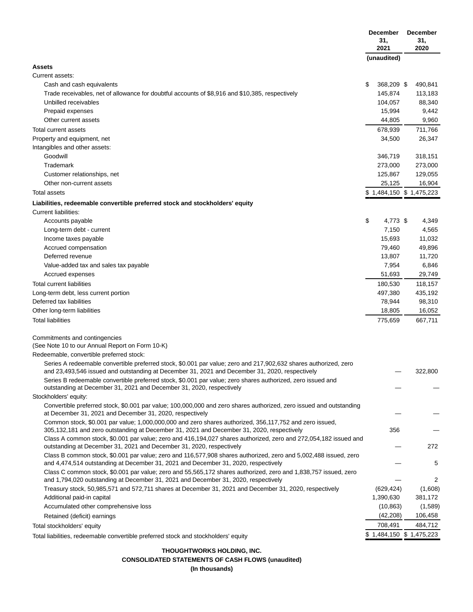|                                                                                                                                                                                                               | <b>December</b><br>31, | <b>December</b><br>31,  |  |
|---------------------------------------------------------------------------------------------------------------------------------------------------------------------------------------------------------------|------------------------|-------------------------|--|
|                                                                                                                                                                                                               | 2021                   | 2020                    |  |
|                                                                                                                                                                                                               | (unaudited)            |                         |  |
| Assets                                                                                                                                                                                                        |                        |                         |  |
| Current assets:                                                                                                                                                                                               |                        |                         |  |
| Cash and cash equivalents                                                                                                                                                                                     | \$<br>368,209 \$       | 490,841                 |  |
| Trade receivables, net of allowance for doubtful accounts of \$8,916 and \$10,385, respectively                                                                                                               | 145,874                | 113,183                 |  |
| Unbilled receivables                                                                                                                                                                                          | 104,057                | 88,340                  |  |
| Prepaid expenses                                                                                                                                                                                              | 15,994                 | 9,442                   |  |
| Other current assets                                                                                                                                                                                          | 44,805                 | 9,960                   |  |
| Total current assets                                                                                                                                                                                          | 678,939                | 711,766                 |  |
| Property and equipment, net                                                                                                                                                                                   | 34,500                 | 26,347                  |  |
| Intangibles and other assets:<br>Goodwill                                                                                                                                                                     |                        | 318,151                 |  |
| Trademark                                                                                                                                                                                                     | 346,719<br>273,000     | 273,000                 |  |
| Customer relationships, net                                                                                                                                                                                   | 125,867                | 129,055                 |  |
| Other non-current assets                                                                                                                                                                                      | 25,125                 | 16,904                  |  |
| <b>Total assets</b>                                                                                                                                                                                           |                        | \$1,484,150 \$1,475,223 |  |
|                                                                                                                                                                                                               |                        |                         |  |
| Liabilities, redeemable convertible preferred stock and stockholders' equity<br>Current liabilities:                                                                                                          |                        |                         |  |
| Accounts payable                                                                                                                                                                                              | \$<br>4,773 \$         | 4,349                   |  |
| Long-term debt - current                                                                                                                                                                                      | 7,150                  | 4,565                   |  |
| Income taxes payable                                                                                                                                                                                          | 15,693                 | 11,032                  |  |
| Accrued compensation                                                                                                                                                                                          | 79,460                 | 49,896                  |  |
| Deferred revenue                                                                                                                                                                                              | 13,807                 | 11,720                  |  |
| Value-added tax and sales tax payable                                                                                                                                                                         | 7,954                  | 6,846                   |  |
| Accrued expenses                                                                                                                                                                                              | 51,693                 | 29,749                  |  |
| <b>Total current liabilities</b>                                                                                                                                                                              | 180,530                | 118,157                 |  |
| Long-term debt, less current portion                                                                                                                                                                          | 497,380                | 435,192                 |  |
| Deferred tax liabilities                                                                                                                                                                                      | 78,944                 | 98,310                  |  |
| Other long-term liabilities                                                                                                                                                                                   | 18,805                 | 16,052                  |  |
| <b>Total liabilities</b>                                                                                                                                                                                      | 775,659                | 667,711                 |  |
|                                                                                                                                                                                                               |                        |                         |  |
| Commitments and contingencies                                                                                                                                                                                 |                        |                         |  |
| (See Note 10 to our Annual Report on Form 10-K)                                                                                                                                                               |                        |                         |  |
| Redeemable, convertible preferred stock:                                                                                                                                                                      |                        |                         |  |
| Series A redeemable convertible preferred stock, \$0.001 par value; zero and 217,902,632 shares authorized, zero                                                                                              |                        |                         |  |
| and 23,493,546 issued and outstanding at December 31, 2021 and December 31, 2020, respectively<br>Series B redeemable convertible preferred stock, \$0.001 par value; zero shares authorized, zero issued and |                        | 322,800                 |  |
| outstanding at December 31, 2021 and December 31, 2020, respectively                                                                                                                                          |                        |                         |  |
| Stockholders' equity:                                                                                                                                                                                         |                        |                         |  |
| Convertible preferred stock, \$0.001 par value; 100,000,000 and zero shares authorized, zero issued and outstanding                                                                                           |                        |                         |  |
| at December 31, 2021 and December 31, 2020, respectively                                                                                                                                                      |                        |                         |  |
| Common stock, \$0.001 par value; 1,000,000,000 and zero shares authorized, 356,117,752 and zero issued,                                                                                                       |                        |                         |  |
| 305,132,181 and zero outstanding at December 31, 2021 and December 31, 2020, respectively                                                                                                                     | 356                    |                         |  |
| Class A common stock, \$0.001 par value; zero and 416,194,027 shares authorized, zero and 272,054,182 issued and                                                                                              |                        |                         |  |
| outstanding at December 31, 2021 and December 31, 2020, respectively<br>Class B common stock, \$0.001 par value; zero and 116,577,908 shares authorized, zero and 5,002,488 issued, zero                      |                        | 272                     |  |
| and 4,474,514 outstanding at December 31, 2021 and December 31, 2020, respectively                                                                                                                            |                        | 5                       |  |
| Class C common stock, \$0.001 par value; zero and 55,565,172 shares authorized, zero and 1,838,757 issued, zero                                                                                               |                        |                         |  |
| and 1,794,020 outstanding at December 31, 2021 and December 31, 2020, respectively                                                                                                                            |                        | 2                       |  |
| Treasury stock, 50,985,571 and 572,711 shares at December 31, 2021 and December 31, 2020, respectively                                                                                                        | (629, 424)             | (1,608)                 |  |
| Additional paid-in capital                                                                                                                                                                                    | 1,390,630              | 381,172                 |  |
| Accumulated other comprehensive loss                                                                                                                                                                          | (10, 863)              | (1,589)                 |  |
| Retained (deficit) earnings                                                                                                                                                                                   | (42, 208)              | 106,458                 |  |
| Total stockholders' equity                                                                                                                                                                                    | 708,491                | 484,712                 |  |
| Total liabilities, redeemable convertible preferred stock and stockholders' equity                                                                                                                            |                        | \$1,484,150 \$1,475,223 |  |
|                                                                                                                                                                                                               |                        |                         |  |

# **THOUGHTWORKS HOLDING, INC.**

**CONSOLIDATED STATEMENTS OF CASH FLOWS (unaudited)**

**(In thousands)**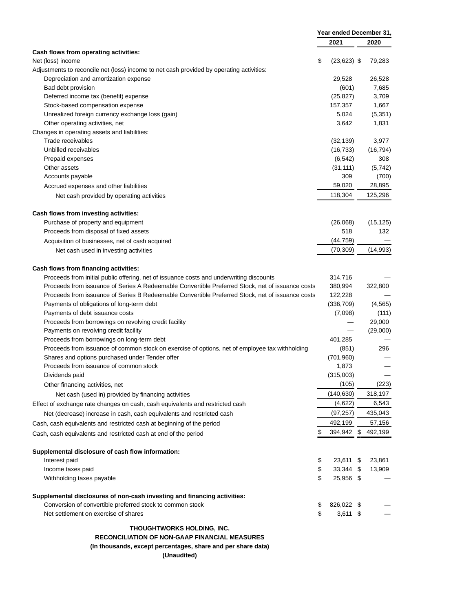|                                                                                                                                                                                             | Year ended December 31, |                      |  |                |  |  |  |
|---------------------------------------------------------------------------------------------------------------------------------------------------------------------------------------------|-------------------------|----------------------|--|----------------|--|--|--|
|                                                                                                                                                                                             |                         | 2021                 |  | 2020           |  |  |  |
| Cash flows from operating activities:                                                                                                                                                       |                         |                      |  |                |  |  |  |
| Net (loss) income                                                                                                                                                                           | \$                      | $(23,623)$ \$        |  | 79,283         |  |  |  |
| Adjustments to reconcile net (loss) income to net cash provided by operating activities:                                                                                                    |                         |                      |  |                |  |  |  |
| Depreciation and amortization expense                                                                                                                                                       |                         | 29,528               |  | 26,528         |  |  |  |
| Bad debt provision                                                                                                                                                                          |                         | (601)                |  | 7,685<br>3,709 |  |  |  |
| Deferred income tax (benefit) expense<br>Stock-based compensation expense                                                                                                                   |                         | (25, 827)<br>157,357 |  | 1,667          |  |  |  |
| Unrealized foreign currency exchange loss (gain)                                                                                                                                            |                         | 5,024                |  | (5, 351)       |  |  |  |
| Other operating activities, net                                                                                                                                                             |                         | 3,642                |  | 1,831          |  |  |  |
| Changes in operating assets and liabilities:                                                                                                                                                |                         |                      |  |                |  |  |  |
| Trade receivables                                                                                                                                                                           |                         | (32, 139)            |  | 3,977          |  |  |  |
| Unbilled receivables                                                                                                                                                                        |                         | (16, 733)            |  | (16, 794)      |  |  |  |
| Prepaid expenses                                                                                                                                                                            |                         | (6, 542)             |  | 308            |  |  |  |
| Other assets                                                                                                                                                                                |                         | (31, 111)            |  | (5,742)        |  |  |  |
| Accounts payable                                                                                                                                                                            |                         | 309                  |  | (700)          |  |  |  |
| Accrued expenses and other liabilities                                                                                                                                                      |                         | 59,020               |  | 28,895         |  |  |  |
| Net cash provided by operating activities                                                                                                                                                   |                         | 118,304              |  | 125,296        |  |  |  |
|                                                                                                                                                                                             |                         |                      |  |                |  |  |  |
| Cash flows from investing activities:                                                                                                                                                       |                         |                      |  |                |  |  |  |
| Purchase of property and equipment                                                                                                                                                          |                         | (26,068)             |  | (15, 125)      |  |  |  |
| Proceeds from disposal of fixed assets                                                                                                                                                      |                         | 518                  |  | 132            |  |  |  |
| Acquisition of businesses, net of cash acquired                                                                                                                                             |                         | (44, 759)            |  |                |  |  |  |
| Net cash used in investing activities                                                                                                                                                       |                         | (70, 309)            |  | (14,993)       |  |  |  |
|                                                                                                                                                                                             |                         |                      |  |                |  |  |  |
| Cash flows from financing activities:                                                                                                                                                       |                         |                      |  |                |  |  |  |
| Proceeds from initial public offering, net of issuance costs and underwriting discounts<br>Proceeds from issuance of Series A Redeemable Convertible Preferred Stock, net of issuance costs |                         | 314,716<br>380,994   |  | 322,800        |  |  |  |
| Proceeds from issuance of Series B Redeemable Convertible Preferred Stock, net of issuance costs                                                                                            |                         | 122,228              |  |                |  |  |  |
| Payments of obligations of long-term debt                                                                                                                                                   |                         | (336, 709)           |  | (4, 565)       |  |  |  |
| Payments of debt issuance costs                                                                                                                                                             |                         | (7,098)              |  | (111)          |  |  |  |
| Proceeds from borrowings on revolving credit facility                                                                                                                                       |                         |                      |  | 29,000         |  |  |  |
| Payments on revolving credit facility                                                                                                                                                       |                         |                      |  | (29,000)       |  |  |  |
| Proceeds from borrowings on long-term debt                                                                                                                                                  |                         | 401,285              |  |                |  |  |  |
| Proceeds from issuance of common stock on exercise of options, net of employee tax withholding                                                                                              |                         | (851)                |  | 296            |  |  |  |
| Shares and options purchased under Tender offer                                                                                                                                             |                         | (701, 960)           |  |                |  |  |  |
| Proceeds from issuance of common stock                                                                                                                                                      |                         | 1,873                |  |                |  |  |  |
| Dividends paid                                                                                                                                                                              |                         | (315,003)            |  |                |  |  |  |
| Other financing activities, net                                                                                                                                                             |                         | (105)                |  | (223)          |  |  |  |
| Net cash (used in) provided by financing activities                                                                                                                                         |                         | (140, 630)           |  | 318,197        |  |  |  |
| Effect of exchange rate changes on cash, cash equivalents and restricted cash                                                                                                               |                         | (4,622)              |  | 6,543          |  |  |  |
| Net (decrease) increase in cash, cash equivalents and restricted cash                                                                                                                       |                         | (97, 257)            |  | 435,043        |  |  |  |
| Cash, cash equivalents and restricted cash at beginning of the period                                                                                                                       |                         | 492,199              |  | 57,156         |  |  |  |
| Cash, cash equivalents and restricted cash at end of the period                                                                                                                             |                         | 394,942 \$ 492,199   |  |                |  |  |  |
|                                                                                                                                                                                             |                         |                      |  |                |  |  |  |
| Supplemental disclosure of cash flow information:                                                                                                                                           |                         |                      |  |                |  |  |  |
| Interest paid                                                                                                                                                                               | \$                      | 23,611 \$            |  | 23,861         |  |  |  |
| Income taxes paid                                                                                                                                                                           | \$                      | 33,344 \$            |  | 13,909         |  |  |  |
| Withholding taxes payable                                                                                                                                                                   | \$                      | 25,956 \$            |  |                |  |  |  |
|                                                                                                                                                                                             |                         |                      |  |                |  |  |  |
| Supplemental disclosures of non-cash investing and financing activities:                                                                                                                    |                         |                      |  |                |  |  |  |
| Conversion of convertible preferred stock to common stock                                                                                                                                   | \$                      | 826,022 \$           |  |                |  |  |  |
| Net settlement on exercise of shares                                                                                                                                                        | \$                      | $3,611$ \$           |  |                |  |  |  |
| THOUGHTWORKS HOLDING, INC.                                                                                                                                                                  |                         |                      |  |                |  |  |  |
| <b>RECONCILIATION OF NON-GAAP FINANCIAL MEASURES</b>                                                                                                                                        |                         |                      |  |                |  |  |  |
| (In thousands, except percentages, share and per share data)                                                                                                                                |                         |                      |  |                |  |  |  |

**(Unaudited)**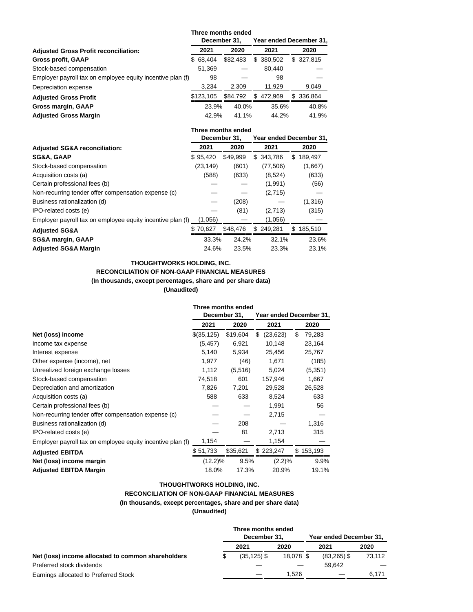|                                                            | Three months ended<br>December 31. |          | Year ended December 31, |                |  |  |  |
|------------------------------------------------------------|------------------------------------|----------|-------------------------|----------------|--|--|--|
| <b>Adjusted Gross Profit reconciliation:</b>               | 2021                               | 2020     | 2021                    | 2020           |  |  |  |
| <b>Gross profit, GAAP</b>                                  | \$68.404                           | \$82,483 | 380.502<br>\$.          | \$327.815      |  |  |  |
| Stock-based compensation                                   | 51.369                             |          | 80,440                  |                |  |  |  |
| Employer payroll tax on employee equity incentive plan (f) | 98                                 |          | 98                      |                |  |  |  |
| Depreciation expense                                       | 3,234                              | 2,309    | 11.929                  | 9,049          |  |  |  |
| <b>Adjusted Gross Profit</b>                               | \$123,105                          | \$84.792 | 472.969<br>S.           | 336.864<br>\$. |  |  |  |
| Gross margin, GAAP                                         | 23.9%                              | 40.0%    | 35.6%                   | 40.8%          |  |  |  |
| <b>Adjusted Gross Margin</b>                               | 42.9%                              | 41.1%    | 44.2%                   | 41.9%          |  |  |  |

|                                                            | Three months ended | December 31, | Year ended December 31, |               |  |  |  |
|------------------------------------------------------------|--------------------|--------------|-------------------------|---------------|--|--|--|
| <b>Adjusted SG&amp;A reconciliation:</b>                   | 2021               | 2020         | 2021                    | 2020          |  |  |  |
| SG&A, GAAP                                                 | \$95.420           | \$49.999     | 343,786<br>\$.          | 189,497<br>\$ |  |  |  |
| Stock-based compensation                                   | (23, 149)          | (601)        | (77,506)                | (1,667)       |  |  |  |
| Acquisition costs (a)                                      | (588)              | (633)        | (8,524)                 | (633)         |  |  |  |
| Certain professional fees (b)                              |                    |              | (1,991)                 | (56)          |  |  |  |
| Non-recurring tender offer compensation expense (c)        |                    |              | (2,715)                 |               |  |  |  |
| Business rationalization (d)                               |                    | (208)        |                         | (1,316)       |  |  |  |
| IPO-related costs (e)                                      |                    | (81)         | (2,713)                 | (315)         |  |  |  |
| Employer payroll tax on employee equity incentive plan (f) | (1,056)            |              | (1,056)                 |               |  |  |  |
| <b>Adjusted SG&amp;A</b>                                   | \$70,627           | \$48,476     | 249,281<br>S            | 185,510       |  |  |  |
| SG&A margin, GAAP                                          | 33.3%              | 24.2%        | 32.1%                   | 23.6%         |  |  |  |
| <b>Adjusted SG&amp;A Margin</b>                            | 24.6%              | 23.5%        | 23.3%                   | 23.1%         |  |  |  |

## **THOUGHTWORKS HOLDING, INC.**

## **RECONCILIATION OF NON-GAAP FINANCIAL MEASURES**

**(In thousands, except percentages, share and per share data)**

**(Unaudited)**

### **Three months ended**

|                                                            | December 31, |          | Year ended December 31, |                |  |  |  |  |
|------------------------------------------------------------|--------------|----------|-------------------------|----------------|--|--|--|--|
|                                                            | 2021         | 2020     | 2021                    | 2020           |  |  |  |  |
| Net (loss) income                                          | \$(35, 125)  | \$19,604 | \$<br>(23, 623)         | \$<br>79,283   |  |  |  |  |
| Income tax expense                                         | (5, 457)     | 6,921    | 10,148                  | 23,164         |  |  |  |  |
| Interest expense                                           | 5,140        | 5,934    | 25,456                  | 25,767         |  |  |  |  |
| Other expense (income), net                                | 1,977        | (46)     | 1,671                   | (185)          |  |  |  |  |
| Unrealized foreign exchange losses                         | 1,112        | (5,516)  | 5,024                   | (5, 351)       |  |  |  |  |
| Stock-based compensation                                   | 74,518       | 601      | 157,946                 | 1,667          |  |  |  |  |
| Depreciation and amortization                              | 7,826        | 7,201    | 29,528                  | 26,528         |  |  |  |  |
| Acquisition costs (a)                                      | 588          | 633      | 8,524                   | 633            |  |  |  |  |
| Certain professional fees (b)                              |              |          | 1,991                   | 56             |  |  |  |  |
| Non-recurring tender offer compensation expense (c)        |              |          | 2,715                   |                |  |  |  |  |
| Business rationalization (d)                               |              | 208      |                         | 1,316          |  |  |  |  |
| IPO-related costs (e)                                      |              | 81       | 2,713                   | 315            |  |  |  |  |
| Employer payroll tax on employee equity incentive plan (f) | 1,154        |          | 1,154                   |                |  |  |  |  |
| <b>Adjusted EBITDA</b>                                     | \$51,733     | \$35,621 | \$223,247               | 153,193<br>\$. |  |  |  |  |
| Net (loss) income margin                                   | $(12.2)\%$   | 9.5%     | (2.2)%                  | 9.9%           |  |  |  |  |
| <b>Adjusted EBITDA Margin</b>                              | 18.0%        | 17.3%    | 20.9%                   | 19.1%          |  |  |  |  |

# **THOUGHTWORKS HOLDING, INC.**

**RECONCILIATION OF NON-GAAP FINANCIAL MEASURES**

**(In thousands, except percentages, share and per share data)**

**(Unaudited)**

|                                                    | Three months ended<br>December 31, | Year ended December 31, |               |        |  |
|----------------------------------------------------|------------------------------------|-------------------------|---------------|--------|--|
|                                                    | 2021                               | 2020                    | 2021          | 2020   |  |
| Net (loss) income allocated to common shareholders | $(35, 125)$ \$                     | 18.078 \$               | $(83,265)$ \$ | 73,112 |  |
| Preferred stock dividends                          |                                    |                         | 59.642        |        |  |
| Earnings allocated to Preferred Stock              |                                    | 1.526                   |               | 6.171  |  |